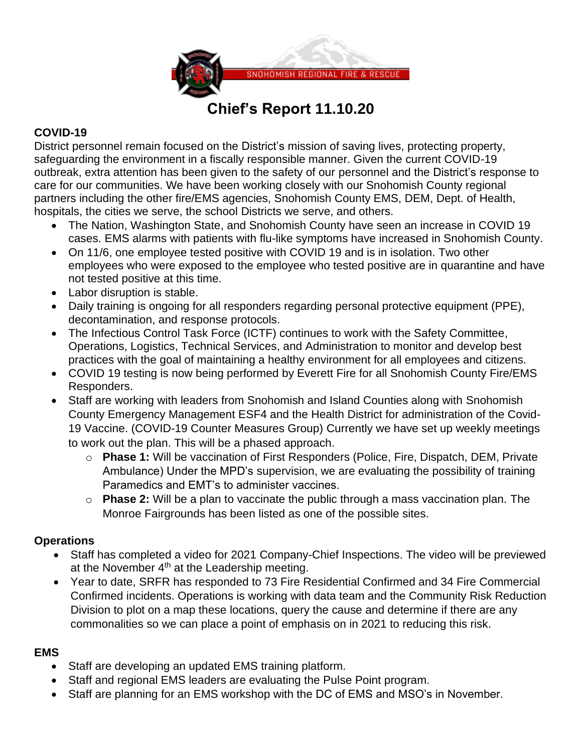

# **Chief's Report 11.10.20**

# **COVID-19**

District personnel remain focused on the District's mission of saving lives, protecting property, safeguarding the environment in a fiscally responsible manner. Given the current COVID-19 outbreak, extra attention has been given to the safety of our personnel and the District's response to care for our communities. We have been working closely with our Snohomish County regional partners including the other fire/EMS agencies, Snohomish County EMS, DEM, Dept. of Health, hospitals, the cities we serve, the school Districts we serve, and others.

- The Nation, Washington State, and Snohomish County have seen an increase in COVID 19 cases. EMS alarms with patients with flu-like symptoms have increased in Snohomish County.
- On 11/6, one employee tested positive with COVID 19 and is in isolation. Two other employees who were exposed to the employee who tested positive are in quarantine and have not tested positive at this time.
- Labor disruption is stable.
- Daily training is ongoing for all responders regarding personal protective equipment (PPE), decontamination, and response protocols.
- The Infectious Control Task Force (ICTF) continues to work with the Safety Committee, Operations, Logistics, Technical Services, and Administration to monitor and develop best practices with the goal of maintaining a healthy environment for all employees and citizens.
- COVID 19 testing is now being performed by Everett Fire for all Snohomish County Fire/EMS Responders.
- Staff are working with leaders from Snohomish and Island Counties along with Snohomish County Emergency Management ESF4 and the Health District for administration of the Covid-19 Vaccine. (COVID-19 Counter Measures Group) Currently we have set up weekly meetings to work out the plan. This will be a phased approach.
	- o **Phase 1:** Will be vaccination of First Responders (Police, Fire, Dispatch, DEM, Private Ambulance) Under the MPD's supervision, we are evaluating the possibility of training Paramedics and EMT's to administer vaccines.
	- o **Phase 2:** Will be a plan to vaccinate the public through a mass vaccination plan. The Monroe Fairgrounds has been listed as one of the possible sites.

# **Operations**

- Staff has completed a video for 2021 Company-Chief Inspections. The video will be previewed at the November  $4<sup>th</sup>$  at the Leadership meeting.
- Year to date, SRFR has responded to 73 Fire Residential Confirmed and 34 Fire Commercial Confirmed incidents. Operations is working with data team and the Community Risk Reduction Division to plot on a map these locations, query the cause and determine if there are any commonalities so we can place a point of emphasis on in 2021 to reducing this risk.

# **EMS**

- Staff are developing an updated EMS training platform.
- Staff and regional EMS leaders are evaluating the Pulse Point program.
- Staff are planning for an EMS workshop with the DC of EMS and MSO's in November.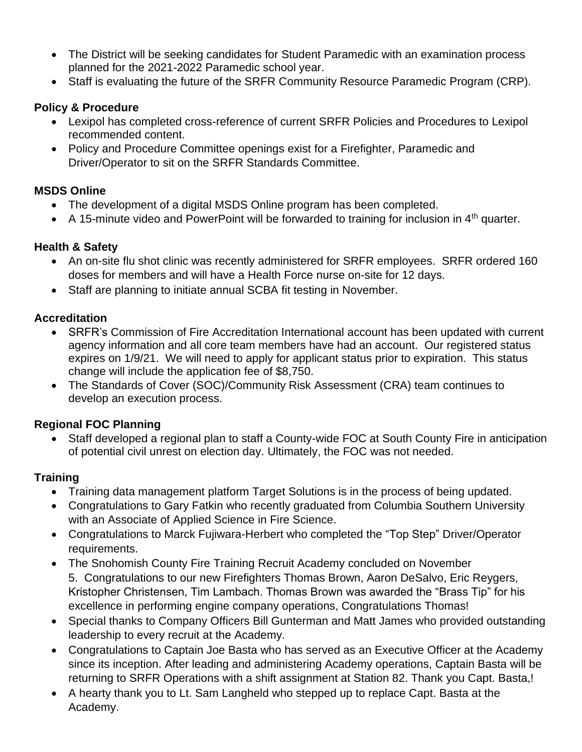- The District will be seeking candidates for Student Paramedic with an examination process planned for the 2021-2022 Paramedic school year.
- Staff is evaluating the future of the SRFR Community Resource Paramedic Program (CRP).

# **Policy & Procedure**

- Lexipol has completed cross-reference of current SRFR Policies and Procedures to Lexipol recommended content.
- Policy and Procedure Committee openings exist for a Firefighter, Paramedic and Driver/Operator to sit on the SRFR Standards Committee.

# **MSDS Online**

- The development of a digital MSDS Online program has been completed.
- A 15-minute video and PowerPoint will be forwarded to training for inclusion in  $4<sup>th</sup>$  quarter.

# **Health & Safety**

- An on-site flu shot clinic was recently administered for SRFR employees. SRFR ordered 160 doses for members and will have a Health Force nurse on-site for 12 days.
- Staff are planning to initiate annual SCBA fit testing in November.

# **Accreditation**

- SRFR's Commission of Fire Accreditation International account has been updated with current agency information and all core team members have had an account. Our registered status expires on 1/9/21. We will need to apply for applicant status prior to expiration. This status change will include the application fee of \$8,750.
- The Standards of Cover (SOC)/Community Risk Assessment (CRA) team continues to develop an execution process.

# **Regional FOC Planning**

• Staff developed a regional plan to staff a County-wide FOC at South County Fire in anticipation of potential civil unrest on election day. Ultimately, the FOC was not needed.

# **Training**

- Training data management platform Target Solutions is in the process of being updated.
- Congratulations to Gary Fatkin who recently graduated from Columbia Southern University with an Associate of Applied Science in Fire Science.
- Congratulations to Marck Fujiwara-Herbert who completed the "Top Step" Driver/Operator requirements.
- The Snohomish County Fire Training Recruit Academy concluded on November 5. Congratulations to our new Firefighters Thomas Brown, Aaron DeSalvo, Eric Reygers, Kristopher Christensen, Tim Lambach. Thomas Brown was awarded the "Brass Tip" for his excellence in performing engine company operations, Congratulations Thomas!
- Special thanks to Company Officers Bill Gunterman and Matt James who provided outstanding leadership to every recruit at the Academy.
- Congratulations to Captain Joe Basta who has served as an Executive Officer at the Academy since its inception. After leading and administering Academy operations, Captain Basta will be returning to SRFR Operations with a shift assignment at Station 82. Thank you Capt. Basta,!
- A hearty thank you to Lt. Sam Langheld who stepped up to replace Capt. Basta at the Academy.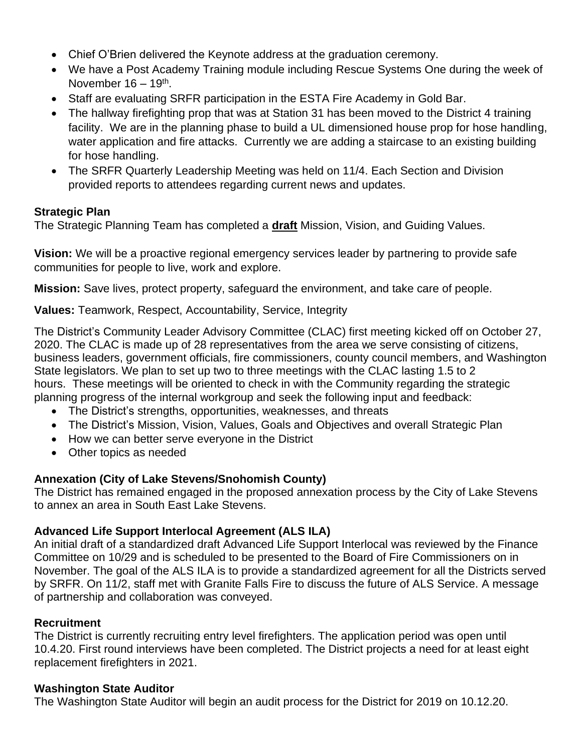- Chief O'Brien delivered the Keynote address at the graduation ceremony.
- We have a Post Academy Training module including Rescue Systems One during the week of November 16 – 19<sup>th</sup>.
- Staff are evaluating SRFR participation in the ESTA Fire Academy in Gold Bar.
- The hallway firefighting prop that was at Station 31 has been moved to the District 4 training facility. We are in the planning phase to build a UL dimensioned house prop for hose handling, water application and fire attacks. Currently we are adding a staircase to an existing building for hose handling.
- The SRFR Quarterly Leadership Meeting was held on 11/4. Each Section and Division provided reports to attendees regarding current news and updates.

#### **Strategic Plan**

The Strategic Planning Team has completed a **draft** Mission, Vision, and Guiding Values.

**Vision:** We will be a proactive regional emergency services leader by partnering to provide safe communities for people to live, work and explore.

**Mission:** Save lives, protect property, safeguard the environment, and take care of people.

**Values:** Teamwork, Respect, Accountability, Service, Integrity

The District's Community Leader Advisory Committee (CLAC) first meeting kicked off on October 27, 2020. The CLAC is made up of 28 representatives from the area we serve consisting of citizens, business leaders, government officials, fire commissioners, county council members, and Washington State legislators. We plan to set up two to three meetings with the CLAC lasting 1.5 to 2 hours. These meetings will be oriented to check in with the Community regarding the strategic planning progress of the internal workgroup and seek the following input and feedback:

- The District's strengths, opportunities, weaknesses, and threats
- The District's Mission, Vision, Values, Goals and Objectives and overall Strategic Plan
- How we can better serve everyone in the District
- Other topics as needed

#### **Annexation (City of Lake Stevens/Snohomish County)**

The District has remained engaged in the proposed annexation process by the City of Lake Stevens to annex an area in South East Lake Stevens.

#### **Advanced Life Support Interlocal Agreement (ALS ILA)**

An initial draft of a standardized draft Advanced Life Support Interlocal was reviewed by the Finance Committee on 10/29 and is scheduled to be presented to the Board of Fire Commissioners on in November. The goal of the ALS ILA is to provide a standardized agreement for all the Districts served by SRFR. On 11/2, staff met with Granite Falls Fire to discuss the future of ALS Service. A message of partnership and collaboration was conveyed.

#### **Recruitment**

The District is currently recruiting entry level firefighters. The application period was open until 10.4.20. First round interviews have been completed. The District projects a need for at least eight replacement firefighters in 2021.

#### **Washington State Auditor**

The Washington State Auditor will begin an audit process for the District for 2019 on 10.12.20.